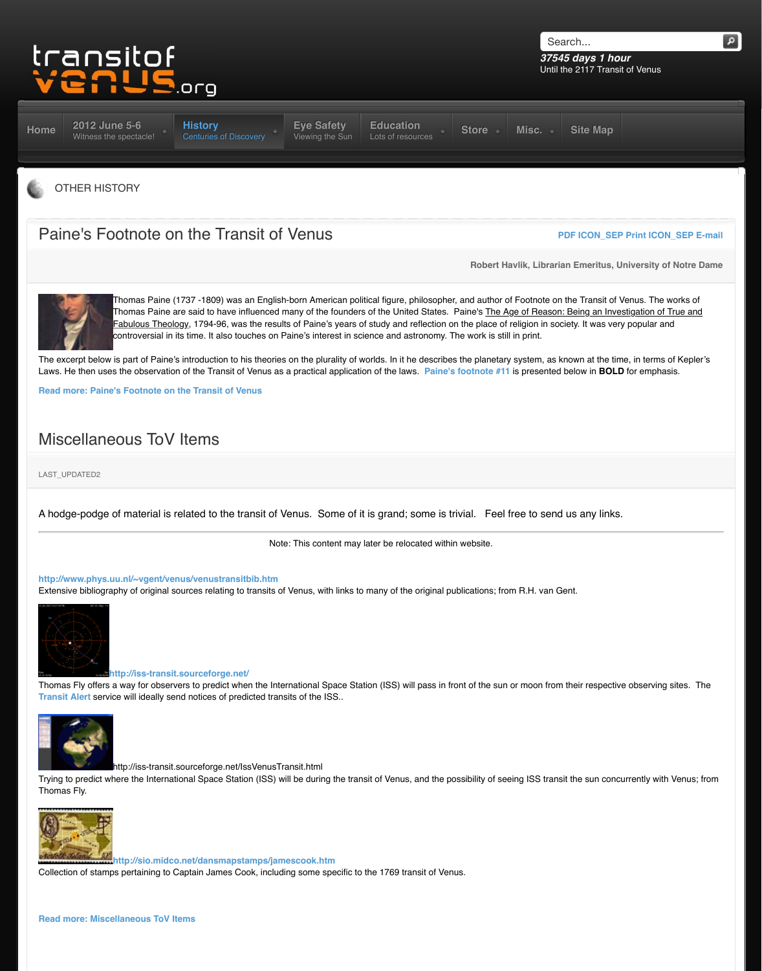**Read more: Paine's Footnote on the Transit of Venus**

## Miscellaneous ToV Items

LAST\_UPDATED2

[A hod](http://www.transitofvenus.org/)[ge-podge of material is](http://www.transitofvenus.org/june2012) [related to the transit of V](http://www.transitofvenus.org/history)[enus. Some of i](http://www.transitofvenus.org/june2012/eye-safety)[t is grand; some is t](http://www.transitofvenus.org/education)r

Note: This content may later be relocated within

#### **http://www.phys.uu.nl/~vgent/venus/venustransitbib.htm**

Extensive bibliography of original sources relating to transits of Venus, with links to many of the original pu



#### **http://iss-transit.sourceforge.net/**

Thomas Fly offers a way for observers to predict when the International Space Station (ISS) will pass in from **Transit Alert** service will ideally send notices of predicted transits of the ISS..



http://iss-transit.sourceforge.net/IssVenusTransit.html

[Trying to predict where the International Space Station \(IS](http://www.transitofvenus.org/history/other-history/277-paines-footnote-on-the-transit-of-venus)S) will be during the transit of Venus, and the post Thomas Fly.



**http://sio.midco.net/dansmapstamps/jamescook.htm**

Collection of stamps pertaining to Captain James Cook, including some specific to the 1769 transit of Ven

#### **Read more: Miscellaneous ToV Items**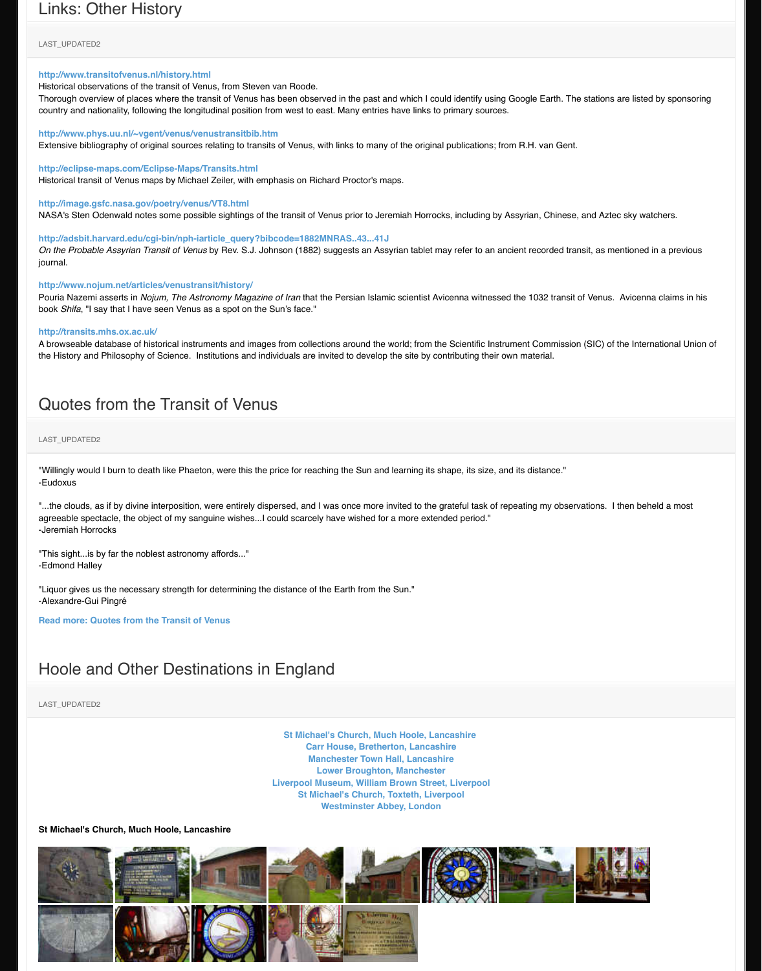### [Quotes from the Tra](http://www.transitofvenus.org/history/other-history/174-links-other-history)nsit of Venus

LAST\_UPDATED2

"Willingly would I burn to death like Phaeton, were this the price for reaching the Sun and learning its shape -Eudoxus

"...the clouds, as if by divine interposition, were entirely dispersed, and I was once more invited to the grat [agreeable spectacle, the object of my sanguine wishes...I cou](http://www.phys.uu.nl/%7Evgent/venus/venustransitbib.htm)ld scarcely have wished for a more extended -Jeremiah Horrocks

["This sight...is by far the noblest astronomy affords..."](http://eclipse-maps.com/Eclipse-Maps/Transits.html) -Edmond Halley

["Liquor gives us the necessary strength for determinin](http://image.gsfc.nasa.gov/poetry/venus/VT8.html)g the distance of the Earth from the Sun." -Alexandre-Gui Pingré

**[Read more: Quotes from the Transit of Venus](http://adsbit.harvard.edu/cgi-bin/nph-iarticle_query?bibcode=1882MNRAS..43...41J)**

# [Hoole and Other Destinations](http://www.nojum.net/articles/venustransit/history/) in England

LAST\_UPDATED2

**St Michael's Church, Much Hoole, Lanca Carr House, Bretherton, Lancashire Manchester Town Hall, Lancashire Lower Broughton, Manchester [Li](http://www.transitofvenus.org/history/other-history/153-quotes-from-the-transit-of-venus)verpool Museum, William Brown Street, Liverpool St Michael's Church, Toxteth, Liverpo Westminster Abbey, London**

### **St Michael's Church, Much Hoole, Lancashire**